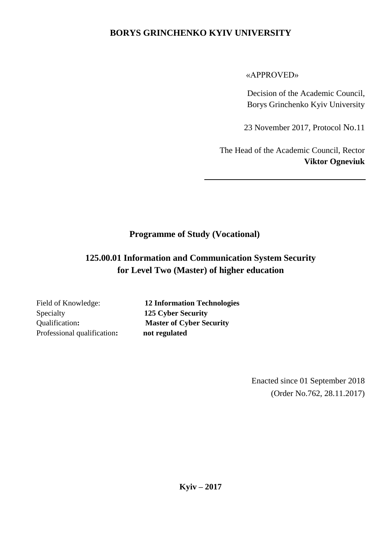## **BORYS GRINCHENKO KYIV UNIVERSITY**

#### «APPROVED»

Decision of the Academic Council, Borys Grinchenko Kyiv University

23 November 2017, Protocol No.11

The Head of the Academic Council, Rector **Viktor Ogneviuk**

# **Programme of Study (Vocational)**

# **125.00.01 Information and Communication System Security for Level Two (Master) of higher education**

Specialty **125 Cyber Security** Professional qualification**: not regulated**

Field of Knowledge: **12 Information Technologies** Qualification**: Master of Cyber Security**

> Enacted since 01 September 2018 (Order No.762, 28.11.2017)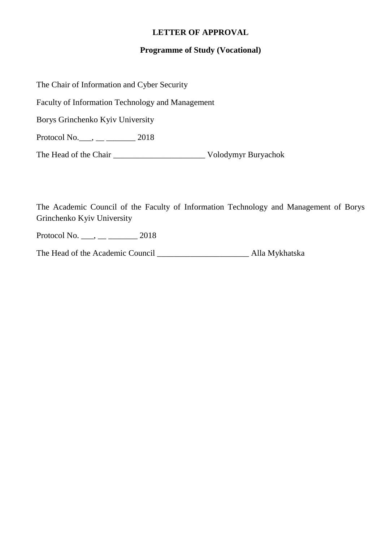#### **LETTER OF APPROVAL**

#### **Programme of Study (Vocational)**

The Chair of Information and Cyber Security Faculty of Information Technology and Management Borys Grinchenko Kyiv University Protocol No.  $\frac{1}{2018}$ The Head of the Chair \_\_\_\_\_\_\_\_\_\_\_\_\_\_\_\_\_\_\_\_\_\_ Volodymyr Buryachok

The Academic Council of the Faculty of Information Technology and Management of Borys Grinchenko Kyiv University

Protocol No.  $\frac{1}{2018}$ 

The Head of the Academic Council \_\_\_\_\_\_\_\_\_\_\_\_\_\_\_\_\_\_\_\_\_\_ Alla Mykhatska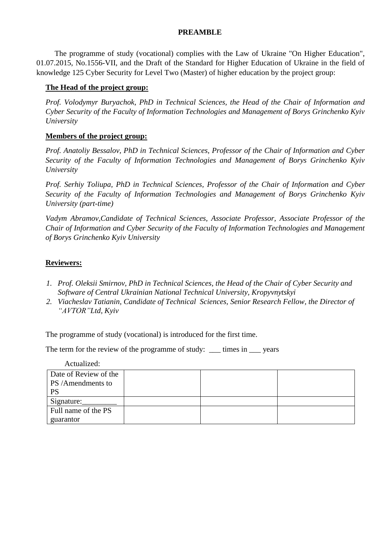#### **PREAMBLE**

The programme of study (vocational) complies with the Law of Ukraine "On Higher Education", 01.07.2015, No.1556-VІІ, and the Draft of the Standard for Higher Education of Ukraine in the field of knowledge 125 Cyber Security for Level Two (Master) of higher education by the project group:

#### **The Head of the project group:**

*Prof. Volodymyr Buryachok, PhD in Technical Sciences, the Head of the Chair of Information and Cyber Security of the Faculty of Information Technologies and Management of Borys Grinchenko Kyiv University*

#### **Members of the project group:**

*Prof. Anatoliy Bessalov, PhD in Technical Sciences, Professor of the Chair of Information and Cyber Security of the Faculty of Information Technologies and Management of Borys Grinchenko Kyiv University*

*Prof. Serhiy Toliupa, PhD in Technical Sciences, Professor of the Chair of Information and Cyber Security of the Faculty of Information Technologies and Management of Borys Grinchenko Kyiv University (part-time)*

*Vadym Abramov,Candidate of Technical Sciences, Associate Professor, Associate Professor of the Chair of Information and Cyber Security of the Faculty of Information Technologies and Management of Borys Grinchenko Kyiv University*

#### **Reviewers:**

- *1. Prof. Oleksii Smirnov, PhD in Technical Sciences, the Head of the Chair of Cyber Security and Software of Central Ukrainian National Technical University, Kropyvnytskyi*
- *2. Viacheslav Tatianin, Candidate of Technical Sciences, Senior Research Fellow, the Director of "AVTOR"Ltd, Kyiv*

The programme of study (vocational) is introduced for the first time.

The term for the review of the programme of study: \_\_\_\_ times in \_\_\_\_ years

Actualized:

| Date of Review of the |  |  |
|-----------------------|--|--|
| PS/Amendments to      |  |  |
| <b>PS</b>             |  |  |
| Signature:            |  |  |
| Full name of the PS   |  |  |
| guarantor             |  |  |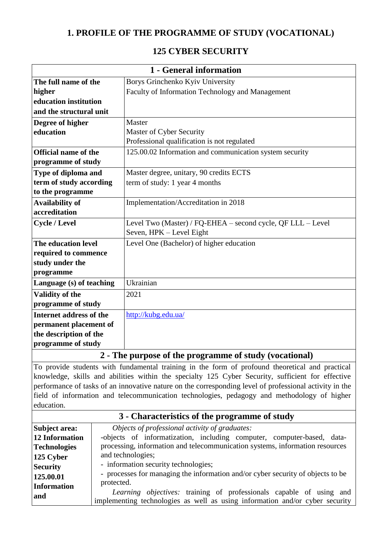## **1. PROFILE OF THE PROGRAMME OF STUDY (VOCATIONAL)**

## **125 CYBER SECURITY**

|                                | 1 - General information                                     |
|--------------------------------|-------------------------------------------------------------|
| The full name of the           | Borys Grinchenko Kyiv University                            |
| higher                         | Faculty of Information Technology and Management            |
| education institution          |                                                             |
| and the structural unit        |                                                             |
| Degree of higher               | Master                                                      |
| education                      | Master of Cyber Security                                    |
|                                | Professional qualification is not regulated                 |
| <b>Official name of the</b>    | 125.00.02 Information and communication system security     |
| programme of study             |                                                             |
| Type of diploma and            | Master degree, unitary, 90 credits ECTS                     |
| term of study according        | term of study: 1 year 4 months                              |
| to the programme               |                                                             |
| <b>Availability of</b>         | Implementation/Accreditation in 2018                        |
| accreditation                  |                                                             |
| <b>Cycle / Level</b>           | Level Two (Master) / FQ-EHEA - second cycle, QF LLL - Level |
|                                | Seven, HPK - Level Eight                                    |
| The education level            | Level One (Bachelor) of higher education                    |
| required to commence           |                                                             |
| study under the                |                                                             |
| programme                      |                                                             |
| Language (s) of teaching       | Ukrainian                                                   |
| <b>Validity of the</b>         | 2021                                                        |
| programme of study             |                                                             |
| <b>Internet address of the</b> | http://kubg.edu.ua/                                         |
| permanent placement of         |                                                             |
| the description of the         |                                                             |
| programme of study             |                                                             |
|                                | 2 - The purpose of the programme of study (vocational)      |

To provide students with fundamental training in the form of profound theoretical and practical knowledge, skills and abilities within the specialty 125 Cyber Security, sufficient for effective performance of tasks of an innovative nature on the corresponding level of professional activity in the field of information and telecommunication technologies, pedagogy and methodology of higher education.

#### **3 - Characteristics of the programme of study Subject area: 12 Information Technologies 125 Cyber Security 125.00.01 Information and**  *Objects of professional activity of graduates:* -objects of informatization, including computer, computer-based, dataprocessing, information and telecommunication systems, information resources and technologies; - information security technologies; - processes for managing the information and/or cyber security of objects to be protected. *Learning objectives:* training of professionals capable of using and implementing technologies as well as using information and/or cyber security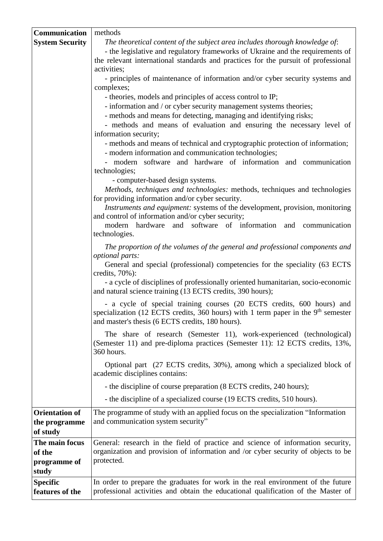| Communication                                      | methods                                                                                                                                                                                                                                                                                  |
|----------------------------------------------------|------------------------------------------------------------------------------------------------------------------------------------------------------------------------------------------------------------------------------------------------------------------------------------------|
| <b>System Security</b>                             | The theoretical content of the subject area includes thorough knowledge of:<br>- the legislative and regulatory frameworks of Ukraine and the requirements of<br>the relevant international standards and practices for the pursuit of professional<br>activities;                       |
|                                                    | - principles of maintenance of information and/or cyber security systems and<br>complexes;                                                                                                                                                                                               |
|                                                    | - theories, models and principles of access control to IP;                                                                                                                                                                                                                               |
|                                                    | - information and / or cyber security management systems theories;<br>- methods and means for detecting, managing and identifying risks;<br>- methods and means of evaluation and ensuring the necessary level of<br>information security;                                               |
|                                                    | - methods and means of technical and cryptographic protection of information;<br>- modern information and communication technologies;                                                                                                                                                    |
|                                                    | modern software and hardware of information and communication<br>technologies;                                                                                                                                                                                                           |
|                                                    | - computer-based design systems.<br>Methods, techniques and technologies: methods, techniques and technologies<br>for providing information and/or cyber security.<br>Instruments and equipment: systems of the development, provision, monitoring                                       |
|                                                    | and control of information and/or cyber security;<br>modern hardware and software of information<br>and communication<br>technologies.                                                                                                                                                   |
|                                                    | The proportion of the volumes of the general and professional components and<br>optional parts:<br>General and special (professional) competencies for the speciality (63 ECTS<br>credits, $70\%$ ):<br>- a cycle of disciplines of professionally oriented humanitarian, socio-economic |
|                                                    | and natural science training (13 ECTS credits, 390 hours);                                                                                                                                                                                                                               |
|                                                    | - a cycle of special training courses (20 ECTS credits, 600 hours) and<br>specialization (12 ECTS credits, 360 hours) with 1 term paper in the $9th$ semester<br>and master's thesis (6 ECTS credits, 180 hours).                                                                        |
|                                                    | The share of research (Semester 11), work-experienced (technological)<br>(Semester 11) and pre-diploma practices (Semester 11): 12 ECTS credits, 13%,<br>360 hours.                                                                                                                      |
|                                                    | Optional part (27 ECTS credits, 30%), among which a specialized block of<br>academic disciplines contains:                                                                                                                                                                               |
|                                                    | - the discipline of course preparation (8 ECTS credits, 240 hours);                                                                                                                                                                                                                      |
|                                                    | - the discipline of a specialized course (19 ECTS credits, 510 hours).                                                                                                                                                                                                                   |
| <b>Orientation of</b><br>the programme<br>of study | The programme of study with an applied focus on the specialization "Information"<br>and communication system security"                                                                                                                                                                   |
| The main focus<br>of the<br>programme of<br>study  | General: research in the field of practice and science of information security,<br>organization and provision of information and /or cyber security of objects to be<br>protected.                                                                                                       |
| <b>Specific</b><br>features of the                 | In order to prepare the graduates for work in the real environment of the future<br>professional activities and obtain the educational qualification of the Master of                                                                                                                    |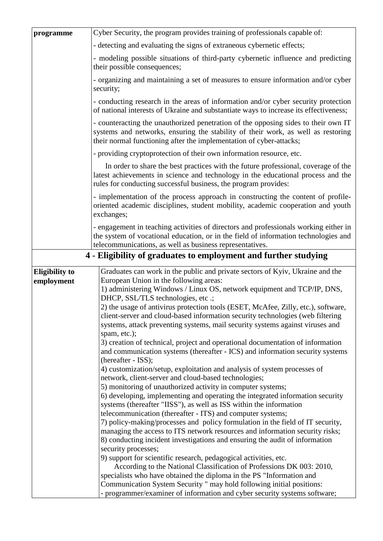| programme                           | Cyber Security, the program provides training of professionals capable of:                                                                                                                                                                                                                                                                                                                                                                                                                                                                                                                                                                                                                                                                                                                                                                                                                                                                                                                                                                                                                                                                                                                                                                                                                                                                                                                                                                                                                                                                                                                                                    |  |  |  |  |  |  |  |
|-------------------------------------|-------------------------------------------------------------------------------------------------------------------------------------------------------------------------------------------------------------------------------------------------------------------------------------------------------------------------------------------------------------------------------------------------------------------------------------------------------------------------------------------------------------------------------------------------------------------------------------------------------------------------------------------------------------------------------------------------------------------------------------------------------------------------------------------------------------------------------------------------------------------------------------------------------------------------------------------------------------------------------------------------------------------------------------------------------------------------------------------------------------------------------------------------------------------------------------------------------------------------------------------------------------------------------------------------------------------------------------------------------------------------------------------------------------------------------------------------------------------------------------------------------------------------------------------------------------------------------------------------------------------------------|--|--|--|--|--|--|--|
|                                     | - detecting and evaluating the signs of extraneous cybernetic effects;                                                                                                                                                                                                                                                                                                                                                                                                                                                                                                                                                                                                                                                                                                                                                                                                                                                                                                                                                                                                                                                                                                                                                                                                                                                                                                                                                                                                                                                                                                                                                        |  |  |  |  |  |  |  |
|                                     | - modeling possible situations of third-party cybernetic influence and predicting<br>their possible consequences;                                                                                                                                                                                                                                                                                                                                                                                                                                                                                                                                                                                                                                                                                                                                                                                                                                                                                                                                                                                                                                                                                                                                                                                                                                                                                                                                                                                                                                                                                                             |  |  |  |  |  |  |  |
|                                     | - organizing and maintaining a set of measures to ensure information and/or cyber<br>security;                                                                                                                                                                                                                                                                                                                                                                                                                                                                                                                                                                                                                                                                                                                                                                                                                                                                                                                                                                                                                                                                                                                                                                                                                                                                                                                                                                                                                                                                                                                                |  |  |  |  |  |  |  |
|                                     | - conducting research in the areas of information and/or cyber security protection<br>of national interests of Ukraine and substantiate ways to increase its effectiveness;                                                                                                                                                                                                                                                                                                                                                                                                                                                                                                                                                                                                                                                                                                                                                                                                                                                                                                                                                                                                                                                                                                                                                                                                                                                                                                                                                                                                                                                   |  |  |  |  |  |  |  |
|                                     | - counteracting the unauthorized penetration of the opposing sides to their own IT<br>systems and networks, ensuring the stability of their work, as well as restoring<br>their normal functioning after the implementation of cyber-attacks;                                                                                                                                                                                                                                                                                                                                                                                                                                                                                                                                                                                                                                                                                                                                                                                                                                                                                                                                                                                                                                                                                                                                                                                                                                                                                                                                                                                 |  |  |  |  |  |  |  |
|                                     | - providing cryptoprotection of their own information resource, etc.                                                                                                                                                                                                                                                                                                                                                                                                                                                                                                                                                                                                                                                                                                                                                                                                                                                                                                                                                                                                                                                                                                                                                                                                                                                                                                                                                                                                                                                                                                                                                          |  |  |  |  |  |  |  |
|                                     | In order to share the best practices with the future professional, coverage of the<br>latest achievements in science and technology in the educational process and the<br>rules for conducting successful business, the program provides:                                                                                                                                                                                                                                                                                                                                                                                                                                                                                                                                                                                                                                                                                                                                                                                                                                                                                                                                                                                                                                                                                                                                                                                                                                                                                                                                                                                     |  |  |  |  |  |  |  |
|                                     | - implementation of the process approach in constructing the content of profile-<br>oriented academic disciplines, student mobility, academic cooperation and youth<br>exchanges;                                                                                                                                                                                                                                                                                                                                                                                                                                                                                                                                                                                                                                                                                                                                                                                                                                                                                                                                                                                                                                                                                                                                                                                                                                                                                                                                                                                                                                             |  |  |  |  |  |  |  |
|                                     | - engagement in teaching activities of directors and professionals working either in<br>the system of vocational education, or in the field of information technologies and<br>telecommunications, as well as business representatives.                                                                                                                                                                                                                                                                                                                                                                                                                                                                                                                                                                                                                                                                                                                                                                                                                                                                                                                                                                                                                                                                                                                                                                                                                                                                                                                                                                                       |  |  |  |  |  |  |  |
|                                     | 4 - Eligibility of graduates to employment and further studying                                                                                                                                                                                                                                                                                                                                                                                                                                                                                                                                                                                                                                                                                                                                                                                                                                                                                                                                                                                                                                                                                                                                                                                                                                                                                                                                                                                                                                                                                                                                                               |  |  |  |  |  |  |  |
| <b>Eligibility to</b><br>employment | Graduates can work in the public and private sectors of Kyiv, Ukraine and the<br>European Union in the following areas:<br>1) administering Windows / Linux OS, network equipment and TCP/IP, DNS,<br>DHCP, SSL/TLS technologies, etc.;<br>2) the usage of antivirus protection tools (ESET, McAfee, Zilly, etc.), software,<br>client-server and cloud-based information security technologies (web filtering<br>systems, attack preventing systems, mail security systems against viruses and<br>spam, etc.);<br>3) creation of technical, project and operational documentation of information<br>and communication systems (thereafter - ICS) and information security systems<br>(hereafter - ISS);<br>4) customization/setup, exploitation and analysis of system processes of<br>network, client-server and cloud-based technologies;<br>5) monitoring of unauthorized activity in computer systems;<br>6) developing, implementing and operating the integrated information security<br>systems (thereafter "IISS"), as well as ISS within the information<br>telecommunication (thereafter - ITS) and computer systems;<br>7) policy-making/processes and policy formulation in the field of IT security,<br>managing the access to ITS network resources and information security risks;<br>8) conducting incident investigations and ensuring the audit of information<br>security processes;<br>9) support for scientific research, pedagogical activities, etc.<br>According to the National Classification of Professions DK 003: 2010,<br>specialists who have obtained the diploma in the PS "Information and |  |  |  |  |  |  |  |
|                                     | Communication System Security " may hold following initial positions:<br>- programmer/examiner of information and cyber security systems software;                                                                                                                                                                                                                                                                                                                                                                                                                                                                                                                                                                                                                                                                                                                                                                                                                                                                                                                                                                                                                                                                                                                                                                                                                                                                                                                                                                                                                                                                            |  |  |  |  |  |  |  |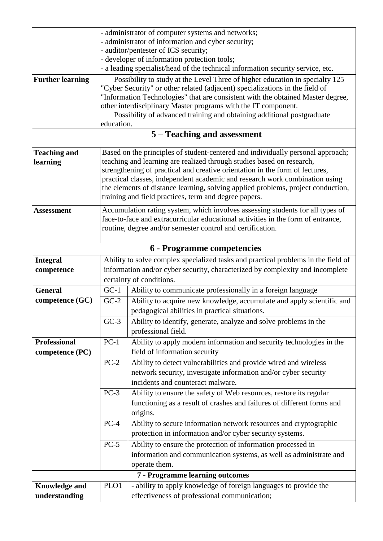|                            | - administrator of computer systems and networks;                             |                                                                                                                                          |  |  |  |  |  |  |  |  |
|----------------------------|-------------------------------------------------------------------------------|------------------------------------------------------------------------------------------------------------------------------------------|--|--|--|--|--|--|--|--|
|                            |                                                                               | - administrator of information and cyber security;                                                                                       |  |  |  |  |  |  |  |  |
|                            |                                                                               | - auditor/pentester of ICS security;                                                                                                     |  |  |  |  |  |  |  |  |
|                            |                                                                               | - developer of information protection tools;                                                                                             |  |  |  |  |  |  |  |  |
|                            |                                                                               | - a leading specialist/head of the technical information security service, etc.                                                          |  |  |  |  |  |  |  |  |
| <b>Further learning</b>    |                                                                               | Possibility to study at the Level Three of higher education in specialty 125                                                             |  |  |  |  |  |  |  |  |
|                            |                                                                               | "Cyber Security" or other related (adjacent) specializations in the field of                                                             |  |  |  |  |  |  |  |  |
|                            |                                                                               | "Information Technologies" that are consistent with the obtained Master degree,                                                          |  |  |  |  |  |  |  |  |
|                            |                                                                               | other interdisciplinary Master programs with the IT component.<br>Possibility of advanced training and obtaining additional postgraduate |  |  |  |  |  |  |  |  |
|                            | education.                                                                    |                                                                                                                                          |  |  |  |  |  |  |  |  |
|                            |                                                                               | 5 – Teaching and assessment                                                                                                              |  |  |  |  |  |  |  |  |
| <b>Teaching and</b>        |                                                                               | Based on the principles of student-centered and individually personal approach;                                                          |  |  |  |  |  |  |  |  |
| learning                   |                                                                               | teaching and learning are realized through studies based on research,                                                                    |  |  |  |  |  |  |  |  |
|                            |                                                                               | strengthening of practical and creative orientation in the form of lectures,                                                             |  |  |  |  |  |  |  |  |
|                            |                                                                               | practical classes, independent academic and research work combination using                                                              |  |  |  |  |  |  |  |  |
|                            |                                                                               | the elements of distance learning, solving applied problems, project conduction,                                                         |  |  |  |  |  |  |  |  |
|                            |                                                                               | training and field practices, term and degree papers.                                                                                    |  |  |  |  |  |  |  |  |
| <b>Assessment</b>          |                                                                               | Accumulation rating system, which involves assessing students for all types of                                                           |  |  |  |  |  |  |  |  |
|                            |                                                                               | face-to-face and extracurricular educational activities in the form of entrance,                                                         |  |  |  |  |  |  |  |  |
|                            |                                                                               | routine, degree and/or semester control and certification.                                                                               |  |  |  |  |  |  |  |  |
|                            |                                                                               |                                                                                                                                          |  |  |  |  |  |  |  |  |
| 6 - Programme competencies |                                                                               |                                                                                                                                          |  |  |  |  |  |  |  |  |
| <b>Integral</b>            |                                                                               | Ability to solve complex specialized tasks and practical problems in the field of                                                        |  |  |  |  |  |  |  |  |
| competence                 | information and/or cyber security, characterized by complexity and incomplete |                                                                                                                                          |  |  |  |  |  |  |  |  |
|                            | certainty of conditions.                                                      |                                                                                                                                          |  |  |  |  |  |  |  |  |
| <b>General</b>             | $GC-1$                                                                        | Ability to communicate professionally in a foreign language                                                                              |  |  |  |  |  |  |  |  |
| competence $(GC)$          | $GC-2$                                                                        | Ability to acquire new knowledge, accumulate and apply scientific and                                                                    |  |  |  |  |  |  |  |  |
|                            |                                                                               | pedagogical abilities in practical situations.                                                                                           |  |  |  |  |  |  |  |  |
|                            | $GC-3$                                                                        | Ability to identify, generate, analyze and solve problems in the                                                                         |  |  |  |  |  |  |  |  |
|                            |                                                                               | professional field.                                                                                                                      |  |  |  |  |  |  |  |  |
| <b>Professional</b>        | $PC-1$                                                                        | Ability to apply modern information and security technologies in the                                                                     |  |  |  |  |  |  |  |  |
|                            |                                                                               | field of information security                                                                                                            |  |  |  |  |  |  |  |  |
| competence (PC)            |                                                                               |                                                                                                                                          |  |  |  |  |  |  |  |  |
|                            | $PC-2$                                                                        | Ability to detect vulnerabilities and provide wired and wireless                                                                         |  |  |  |  |  |  |  |  |
|                            |                                                                               | network security, investigate information and/or cyber security                                                                          |  |  |  |  |  |  |  |  |
|                            |                                                                               | incidents and counteract malware.                                                                                                        |  |  |  |  |  |  |  |  |
|                            | $PC-3$                                                                        | Ability to ensure the safety of Web resources, restore its regular                                                                       |  |  |  |  |  |  |  |  |
|                            |                                                                               | functioning as a result of crashes and failures of different forms and                                                                   |  |  |  |  |  |  |  |  |
|                            |                                                                               | origins.                                                                                                                                 |  |  |  |  |  |  |  |  |
|                            | $PC-4$                                                                        | Ability to secure information network resources and cryptographic                                                                        |  |  |  |  |  |  |  |  |
|                            |                                                                               | protection in information and/or cyber security systems.                                                                                 |  |  |  |  |  |  |  |  |
|                            | $PC-5$                                                                        | Ability to ensure the protection of information processed in                                                                             |  |  |  |  |  |  |  |  |
|                            |                                                                               | information and communication systems, as well as administrate and                                                                       |  |  |  |  |  |  |  |  |
|                            |                                                                               | operate them.                                                                                                                            |  |  |  |  |  |  |  |  |
|                            |                                                                               | 7 - Programme learning outcomes                                                                                                          |  |  |  |  |  |  |  |  |
| <b>Knowledge and</b>       | PLO1                                                                          | - ability to apply knowledge of foreign languages to provide the                                                                         |  |  |  |  |  |  |  |  |
| understanding              |                                                                               | effectiveness of professional communication;                                                                                             |  |  |  |  |  |  |  |  |
|                            |                                                                               |                                                                                                                                          |  |  |  |  |  |  |  |  |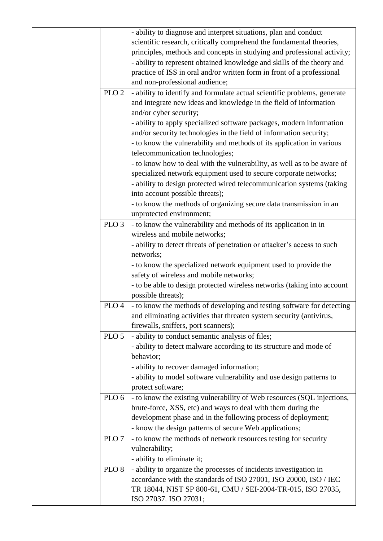|                  | - ability to diagnose and interpret situations, plan and conduct                                                                      |
|------------------|---------------------------------------------------------------------------------------------------------------------------------------|
|                  | scientific research, critically comprehend the fundamental theories,                                                                  |
|                  | principles, methods and concepts in studying and professional activity;                                                               |
|                  | - ability to represent obtained knowledge and skills of the theory and                                                                |
|                  | practice of ISS in oral and/or written form in front of a professional                                                                |
|                  | and non-professional audience;                                                                                                        |
| PLO <sub>2</sub> | - ability to identify and formulate actual scientific problems, generate                                                              |
|                  | and integrate new ideas and knowledge in the field of information                                                                     |
|                  | and/or cyber security;                                                                                                                |
|                  | - ability to apply specialized software packages, modern information                                                                  |
|                  | and/or security technologies in the field of information security;                                                                    |
|                  | - to know the vulnerability and methods of its application in various                                                                 |
|                  | telecommunication technologies;                                                                                                       |
|                  | - to know how to deal with the vulnerability, as well as to be aware of                                                               |
|                  | specialized network equipment used to secure corporate networks;                                                                      |
|                  | - ability to design protected wired telecommunication systems (taking                                                                 |
|                  | into account possible threats);                                                                                                       |
|                  | - to know the methods of organizing secure data transmission in an                                                                    |
|                  | unprotected environment;                                                                                                              |
| PLO <sub>3</sub> | - to know the vulnerability and methods of its application in in                                                                      |
|                  | wireless and mobile networks;                                                                                                         |
|                  | - ability to detect threats of penetration or attacker's access to such                                                               |
|                  | networks;                                                                                                                             |
|                  | - to know the specialized network equipment used to provide the                                                                       |
|                  | safety of wireless and mobile networks;                                                                                               |
|                  | - to be able to design protected wireless networks (taking into account                                                               |
|                  | possible threats);                                                                                                                    |
| PLO <sub>4</sub> | - to know the methods of developing and testing software for detecting                                                                |
|                  | and eliminating activities that threaten system security (antivirus,                                                                  |
|                  | firewalls, sniffers, port scanners);                                                                                                  |
| PLO <sub>5</sub> | - ability to conduct semantic analysis of files;                                                                                      |
|                  | - ability to detect malware according to its structure and mode of                                                                    |
|                  | behavior;                                                                                                                             |
|                  | - ability to recover damaged information;                                                                                             |
|                  | - ability to model software vulnerability and use design patterns to                                                                  |
|                  | protect software;                                                                                                                     |
| PLO <sub>6</sub> | - to know the existing vulnerability of Web resources (SQL injections,                                                                |
|                  | brute-force, XSS, etc) and ways to deal with them during the                                                                          |
|                  | development phase and in the following process of deployment;                                                                         |
|                  | - know the design patterns of secure Web applications;                                                                                |
| PLO <sub>7</sub> | - to know the methods of network resources testing for security<br>vulnerability;                                                     |
|                  |                                                                                                                                       |
|                  | - ability to eliminate it;                                                                                                            |
| PLO <sub>8</sub> | - ability to organize the processes of incidents investigation in<br>accordance with the standards of ISO 27001, ISO 20000, ISO / IEC |
|                  | TR 18044, NIST SP 800-61, CMU / SEI-2004-TR-015, ISO 27035,                                                                           |
|                  | ISO 27037. ISO 27031;                                                                                                                 |
|                  |                                                                                                                                       |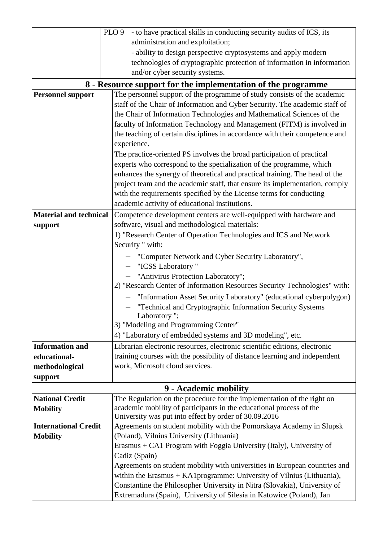|                               | PLO <sub>9</sub> | - to have practical skills in conducting security audits of ICS, its                                             |
|-------------------------------|------------------|------------------------------------------------------------------------------------------------------------------|
|                               |                  | administration and exploitation;                                                                                 |
|                               |                  | - ability to design perspective cryptosystems and apply modern                                                   |
|                               |                  | technologies of cryptographic protection of information in information                                           |
|                               |                  | and/or cyber security systems.                                                                                   |
|                               |                  | 8 - Resource support for the implementation of the programme                                                     |
| <b>Personnel support</b>      |                  | The personnel support of the programme of study consists of the academic                                         |
|                               |                  | staff of the Chair of Information and Cyber Security. The academic staff of                                      |
|                               |                  | the Chair of Information Technologies and Mathematical Sciences of the                                           |
|                               |                  | faculty of Information Technology and Management (FITM) is involved in                                           |
|                               |                  | the teaching of certain disciplines in accordance with their competence and                                      |
|                               |                  | experience.                                                                                                      |
|                               |                  | The practice-oriented PS involves the broad participation of practical                                           |
|                               |                  | experts who correspond to the specialization of the programme, which                                             |
|                               |                  | enhances the synergy of theoretical and practical training. The head of the                                      |
|                               |                  | project team and the academic staff, that ensure its implementation, comply                                      |
|                               |                  | with the requirements specified by the License terms for conducting                                              |
|                               |                  | academic activity of educational institutions.                                                                   |
| <b>Material and technical</b> |                  | Competence development centers are well-equipped with hardware and                                               |
| support                       |                  | software, visual and methodological materials:                                                                   |
|                               |                  | 1) "Research Center of Operation Technologies and ICS and Network                                                |
|                               |                  | Security " with:                                                                                                 |
|                               |                  | - "Computer Network and Cyber Security Laboratory",                                                              |
|                               |                  | - "ICSS Laboratory"                                                                                              |
|                               |                  | "Antivirus Protection Laboratory";                                                                               |
|                               |                  | 2) "Research Center of Information Resources Security Technologies" with:                                        |
|                               |                  | - "Information Asset Security Laboratory" (educational cyberpolygon)                                             |
|                               |                  | - "Technical and Cryptographic Information Security Systems                                                      |
|                               |                  | Laboratory ";                                                                                                    |
|                               |                  | 3) "Modeling and Programming Center"                                                                             |
|                               |                  | 4) "Laboratory of embedded systems and 3D modeling", etc.                                                        |
| <b>Information and</b>        |                  | Librarian electronic resources, electronic scientific editions, electronic                                       |
| educational-                  |                  | training courses with the possibility of distance learning and independent                                       |
| methodological                |                  | work, Microsoft cloud services.                                                                                  |
| support                       |                  |                                                                                                                  |
|                               |                  | 9 - Academic mobility                                                                                            |
| <b>National Credit</b>        |                  | The Regulation on the procedure for the implementation of the right on                                           |
| <b>Mobility</b>               |                  | academic mobility of participants in the educational process of the                                              |
| <b>International Credit</b>   |                  | University was put into effect by order of 30.09.2016                                                            |
| <b>Mobility</b>               |                  | Agreements on student mobility with the Pomorskaya Academy in Slupsk<br>(Poland), Vilnius University (Lithuania) |
|                               |                  | Erasmus + CA1 Program with Foggia University (Italy), University of                                              |
|                               |                  | Cadiz (Spain)                                                                                                    |
|                               |                  | Agreements on student mobility with universities in European countries and                                       |
|                               |                  | within the Erasmus + KA1 programme: University of Vilnius (Lithuania),                                           |
|                               |                  | Constantine the Philosopher University in Nitra (Slovakia), University of                                        |
|                               |                  | Extremadura (Spain), University of Silesia in Katowice (Poland), Jan                                             |
|                               |                  |                                                                                                                  |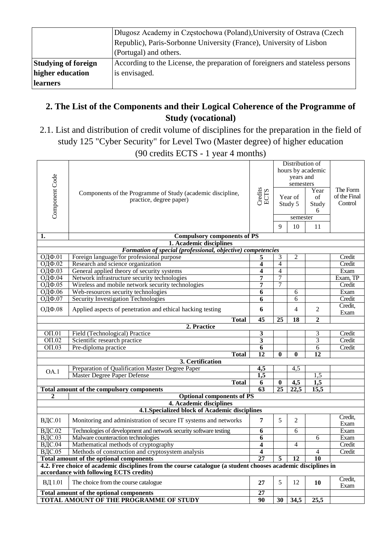|                            | Długosz Academy in Częstochowa (Poland), University of Ostrava (Czech         |
|----------------------------|-------------------------------------------------------------------------------|
|                            | Republic), Paris-Sorbonne University (France), University of Lisbon           |
|                            | (Portugal) and others.                                                        |
| <b>Studying of foreign</b> | According to the License, the preparation of foreigners and stateless persons |
| higher education           | is envisaged.                                                                 |
| <b>learners</b>            |                                                                               |

# **2. The List of the Components and their Logical Coherence of the Programme of Study (vocational)**

2.1. List and distribution of credit volume of disciplines for the preparation in the field of study 125 "Cyber Security" for Level Two (Master degree) of higher education

(90 credits ECTS - 1 year 4 months)

| Component Code     | Components of the Programme of Study (academic discipline,<br>practice, degree paper)                                                                    | Credits<br>ECTS  | Distribution of<br>hours by academic<br>years and<br>semesters<br>Year<br>of<br>Year of<br>Study 5<br>Study<br>6<br>semester<br>9<br>10<br>11 |                   |                 | The Form<br>of the Final<br>Control |
|--------------------|----------------------------------------------------------------------------------------------------------------------------------------------------------|------------------|-----------------------------------------------------------------------------------------------------------------------------------------------|-------------------|-----------------|-------------------------------------|
| 1.                 | <b>Compulsory components of PS</b>                                                                                                                       |                  |                                                                                                                                               |                   |                 |                                     |
|                    | 1. Academic disciplines                                                                                                                                  |                  |                                                                                                                                               |                   |                 |                                     |
| ОДФ.01             | Formation of special (professional, objective) competencies<br>Foreign language/for professional purpose                                                 | 5                | 3                                                                                                                                             | 2                 |                 | Credit                              |
| ОДФ.02             | Research and science organization                                                                                                                        | 4                | $\overline{4}$                                                                                                                                |                   |                 | Credit                              |
| ОДФ.03             | General applied theory of security systems                                                                                                               | 4                | 4                                                                                                                                             |                   |                 | Exam                                |
| ОДФ.04             | Network infrastructure security technologies                                                                                                             | 7                | $\overline{7}$                                                                                                                                |                   |                 | Exam, TP                            |
| <b>ОДФ.05</b>      | Wireless and mobile network security technologies                                                                                                        | 7                | 7                                                                                                                                             |                   |                 | Credit                              |
| ОДФ.06             | Web-resources security technologies                                                                                                                      | 6                |                                                                                                                                               | 6                 |                 | Exam                                |
| ОДФ.07             | Security Investigation Technologies                                                                                                                      | 6                |                                                                                                                                               | 6                 |                 | Credit                              |
| ОДФ.08             | Applied aspects of penetration and ethical hacking testing                                                                                               | 6                |                                                                                                                                               | 4                 | $\overline{2}$  | Credit,                             |
|                    | <b>Total</b>                                                                                                                                             | $\overline{45}$  | 25                                                                                                                                            | 18                | $\overline{2}$  | Exam                                |
|                    | 2. Practice                                                                                                                                              |                  |                                                                                                                                               |                   |                 |                                     |
| $0$ <sub>01</sub>  | Field (Technological) Practice                                                                                                                           | 3                |                                                                                                                                               |                   | 3               | Credit                              |
| $\overline{OH.02}$ | Scientific research practice                                                                                                                             | 3                |                                                                                                                                               |                   | $\overline{3}$  | Credit                              |
| $OT.03$            | Pre-diploma practice                                                                                                                                     | 6                |                                                                                                                                               |                   | 6               | Credit                              |
|                    | <b>Total</b>                                                                                                                                             | $\overline{12}$  | $\mathbf{0}$                                                                                                                                  | 0                 | $\overline{12}$ |                                     |
|                    | 3. Certification                                                                                                                                         |                  |                                                                                                                                               |                   |                 |                                     |
| OA.1               | Preparation of Qualification Master Degree Paper                                                                                                         | 4,5              |                                                                                                                                               | 4,5               |                 |                                     |
|                    | Master Degree Paper Defense                                                                                                                              | $\overline{1,5}$ |                                                                                                                                               |                   | 1,5             |                                     |
|                    | <b>Total</b>                                                                                                                                             | $\overline{6}$   | $\bf{0}$                                                                                                                                      | $\overline{4,5}$  | 1,5             |                                     |
|                    | <b>Total amount of the compulsory components</b>                                                                                                         | $\overline{63}$  | $\overline{25}$                                                                                                                               | $\overline{22,5}$ | 15,5            |                                     |
| 2                  | <b>Optional components of PS</b><br>4. Academic disciplines                                                                                              |                  |                                                                                                                                               |                   |                 |                                     |
|                    | 4.1. Specialized block of Academic disciplines                                                                                                           |                  |                                                                                                                                               |                   |                 |                                     |
|                    |                                                                                                                                                          |                  |                                                                                                                                               |                   |                 | Credit,                             |
| ВДС.01             | Monitoring and administration of secure IT systems and networks                                                                                          | 7                | 5                                                                                                                                             | 2                 |                 | Exam                                |
| <b>ВДС.02</b>      | Technologies of development and network security software testing                                                                                        | 6                |                                                                                                                                               | 6                 |                 | Exam                                |
| ВДС.03             | Malware counteraction technologies                                                                                                                       | 6                |                                                                                                                                               |                   | 6               | Exam                                |
| <b>ВДС.04</b>      | Mathematical methods of cryptography                                                                                                                     | 4                |                                                                                                                                               | 4                 |                 | Credit                              |
| ВДС.05             | Methods of construction and cryptosystem analysis                                                                                                        | 4                |                                                                                                                                               |                   | $\overline{4}$  | Credit                              |
|                    | Total amount of the optional components                                                                                                                  | $\overline{27}$  | 5                                                                                                                                             | $\overline{12}$   | $\overline{10}$ |                                     |
|                    | 4.2. Free choice of academic disciplines from the course catalogue (a student chooses academic disciplines in<br>accordance with following ECTS credits) |                  |                                                                                                                                               |                   |                 |                                     |
| ВД 1.01            | The choice from the course catalogue                                                                                                                     | 27               | 5                                                                                                                                             | 12                | 10              | Credit,                             |
|                    |                                                                                                                                                          |                  |                                                                                                                                               |                   |                 | Exam                                |
|                    | Total amount of the optional components                                                                                                                  | 27               |                                                                                                                                               |                   |                 |                                     |
|                    | TOTAL AMOUNT OF THE PROGRAMME OF STUDY                                                                                                                   | 90               | 30                                                                                                                                            | 34,5              | 25,5            |                                     |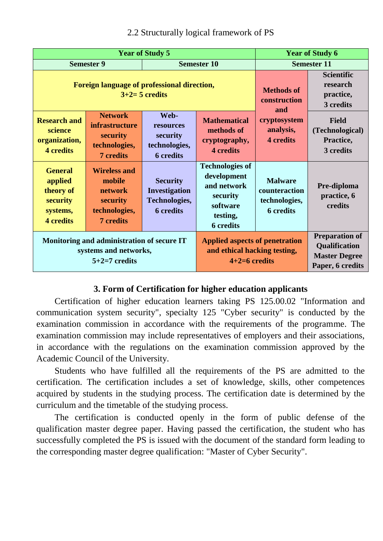|                                                                                        | <b>Year of Study 5</b>                                                                    | <b>Year of Study 6</b>                                                |                                                                                                              |                                                                      |                                                                                    |  |
|----------------------------------------------------------------------------------------|-------------------------------------------------------------------------------------------|-----------------------------------------------------------------------|--------------------------------------------------------------------------------------------------------------|----------------------------------------------------------------------|------------------------------------------------------------------------------------|--|
|                                                                                        | <b>Semester 9</b>                                                                         |                                                                       | <b>Semester 10</b>                                                                                           | <b>Semester 11</b>                                                   |                                                                                    |  |
|                                                                                        | Foreign language of professional direction,<br>$3+2=5$ credits                            |                                                                       | <b>Methods of</b><br>construction<br>and                                                                     | <b>Scientific</b><br>research<br>practice,<br>3 credits              |                                                                                    |  |
| <b>Research and</b><br>science<br>organization,<br><b>4</b> credits                    | <b>Network</b><br><i>infrastructure</i><br>security<br>technologies,<br><b>7</b> credits  | Web-<br>resources<br>security<br>technologies,<br><b>6</b> credits    | <b>Mathematical</b><br>methods of<br>cryptography,<br><b>4</b> credits                                       | cryptosystem<br>analysis,<br><b>4</b> credits                        | <b>Field</b><br>(Technological)<br>Practice,<br>3 credits                          |  |
| <b>General</b><br>applied<br>theory of<br>security<br>systems,<br><b>4</b> credits     | <b>Wireless and</b><br>mobile<br>network<br>security<br>technologies,<br><b>7</b> credits | <b>Security</b><br>Investigation<br>Technologies,<br><b>6</b> credits | <b>Technologies of</b><br>development<br>and network<br>security<br>software<br>testing,<br><b>6</b> credits | <b>Malware</b><br>counteraction<br>technologies,<br><b>6</b> credits | Pre-diploma<br>practice, 6<br>credits                                              |  |
| Monitoring and administration of secure IT<br>systems and networks,<br>$5+2=7$ credits |                                                                                           |                                                                       | <b>Applied aspects of penetration</b><br>and ethical hacking testing,<br>$4+2=6$ credits                     |                                                                      | <b>Preparation of</b><br>Qualification<br><b>Master Degree</b><br>Paper, 6 credits |  |

## 2.2 Structurally logical framework of PS

## **3. Form of Certification for higher education applicants**

Certification of higher education learners taking PS 125.00.02 "Information and communication system security", specialty 125 "Cyber security" is conducted by the examination commission in accordance with the requirements of the programme. The examination commission may include representatives of employers and their associations, in accordance with the regulations on the examination commission approved by the Academic Council of the University.

Students who have fulfilled all the requirements of the PS are admitted to the certification. The certification includes a set of knowledge, skills, other competences acquired by students in the studying process. The certification date is determined by the curriculum and the timetable of the studying process.

The certification is conducted openly in the form of public defense of the qualification master degree paper. Having passed the certification, the student who has successfully completed the PS is issued with the document of the standard form leading to the corresponding master degree qualification: "Master of Cyber Security".